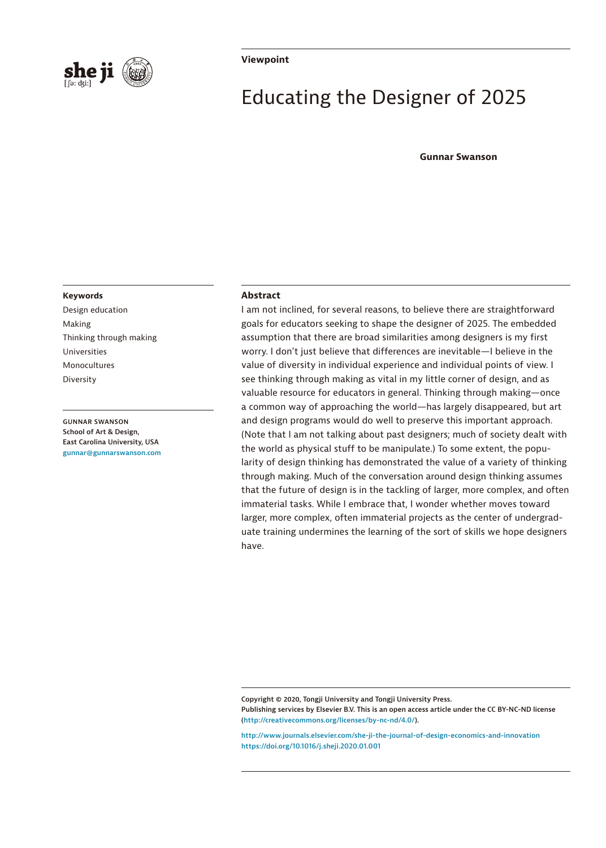

#### **Viewpoint**

# Educating the Designer of 2025

#### **Gunnar Swanson**

#### **Keywords**

Design education Making Thinking through making Universities Monocultures Diversity

**GUNNAR SWANSON School of Art & Design, East Carolina University, USA [gunnar@gunnarswanson.com](mailto:gunnar@gunnarswanson.com)**

#### **Abstract**

I am not inclined, for several reasons, to believe there are straightforward goals for educators seeking to shape the designer of 2025. The embedded assumption that there are broad similarities among designers is my first worry. I don't just believe that differences are inevitable—I believe in the value of diversity in individual experience and individual points of view. I see thinking through making as vital in my little corner of design, and as valuable resource for educators in general. Thinking through making—once a common way of approaching the world—has largely disappeared, but art and design programs would do well to preserve this important approach. (Note that I am not talking about past designers; much of society dealt with the world as physical stuff to be manipulate.) To some extent, the popularity of design thinking has demonstrated the value of a variety of thinking through making. Much of the conversation around design thinking assumes that the future of design is in the tackling of larger, more complex, and often immaterial tasks. While I embrace that, I wonder whether moves toward larger, more complex, often immaterial projects as the center of undergraduate training undermines the learning of the sort of skills we hope designers have.

**Copyright © 2020, Tongji University and Tongji University Press. Publishing services by Elsevier B.V. This is an open access article under the CC BY-NC-ND license [\(http://creativecommons.org/licenses/by-nc-nd/4.0/](http://creativecommons.org/licenses/by-nc-nd/4.0/)).**

**<http://www.journals.elsevier.com/she-ji-the-journal-of-design-economics-and-innovation> <https://doi.org/10.1016/j.sheji.2020.01.001>**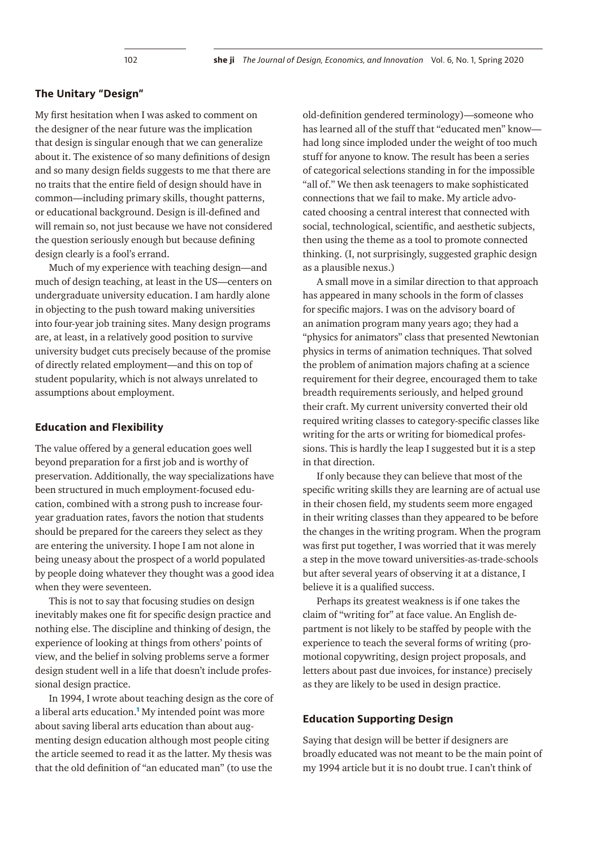## **The Unitary "Design"**

My first hesitation when I was asked to comment on the designer of the near future was the implication that design is singular enough that we can generalize about it. The existence of so many definitions of design and so many design fields suggests to me that there are no traits that the entire field of design should have in common—including primary skills, thought patterns, or educational background. Design is ill-defined and will remain so, not just because we have not considered the question seriously enough but because defining design clearly is a fool's errand.

Much of my experience with teaching design—and much of design teaching, at least in the US—centers on undergraduate university education. I am hardly alone in objecting to the push toward making universities into four-year job training sites. Many design programs are, at least, in a relatively good position to survive university budget cuts precisely because of the promise of directly related employment—and this on top of student popularity, which is not always unrelated to assumptions about employment.

### **Education and Flexibility**

The value offered by a general education goes well beyond preparation for a first job and is worthy of preservation. Additionally, the way specializations have been structured in much employment-focused education, combined with a strong push to increase fouryear graduation rates, favors the notion that students should be prepared for the careers they select as they are entering the university. I hope I am not alone in being uneasy about the prospect of a world populated by people doing whatever they thought was a good idea when they were seventeen.

This is not to say that focusing studies on design inevitably makes one fit for specific design practice and nothing else. The discipline and thinking of design, the experience of looking at things from others' points of view, and the belief in solving problems serve a former design student well in a life that doesn't include professional design practice.

In 1994, I wrote about teaching design as the core of a liberal arts education.**[1](#page-3-0)** My intended point was more about saving liberal arts education than about augmenting design education although most people citing the article seemed to read it as the latter. My thesis was that the old definition of "an educated man" (to use the

old-definition gendered terminology)—someone who has learned all of the stuff that "educated men" know had long since imploded under the weight of too much stuff for anyone to know. The result has been a series of categorical selections standing in for the impossible "all of." We then ask teenagers to make sophisticated connections that we fail to make. My article advocated choosing a central interest that connected with social, technological, scientific, and aesthetic subjects, then using the theme as a tool to promote connected thinking. (I, not surprisingly, suggested graphic design as a plausible nexus.)

A small move in a similar direction to that approach has appeared in many schools in the form of classes for specific majors. I was on the advisory board of an animation program many years ago; they had a "physics for animators" class that presented Newtonian physics in terms of animation techniques. That solved the problem of animation majors chafing at a science requirement for their degree, encouraged them to take breadth requirements seriously, and helped ground their craft. My current university converted their old required writing classes to category-specific classes like writing for the arts or writing for biomedical professions. This is hardly the leap I suggested but it is a step in that direction.

If only because they can believe that most of the specific writing skills they are learning are of actual use in their chosen field, my students seem more engaged in their writing classes than they appeared to be before the changes in the writing program. When the program was first put together, I was worried that it was merely a step in the move toward universities-as-trade-schools but after several years of observing it at a distance, I believe it is a qualified success.

Perhaps its greatest weakness is if one takes the claim of "writing for" at face value. An English department is not likely to be staffed by people with the experience to teach the several forms of writing (promotional copywriting, design project proposals, and letters about past due invoices, for instance) precisely as they are likely to be used in design practice.

### **Education Supporting Design**

Saying that design will be better if designers are broadly educated was not meant to be the main point of my 1994 article but it is no doubt true. I can't think of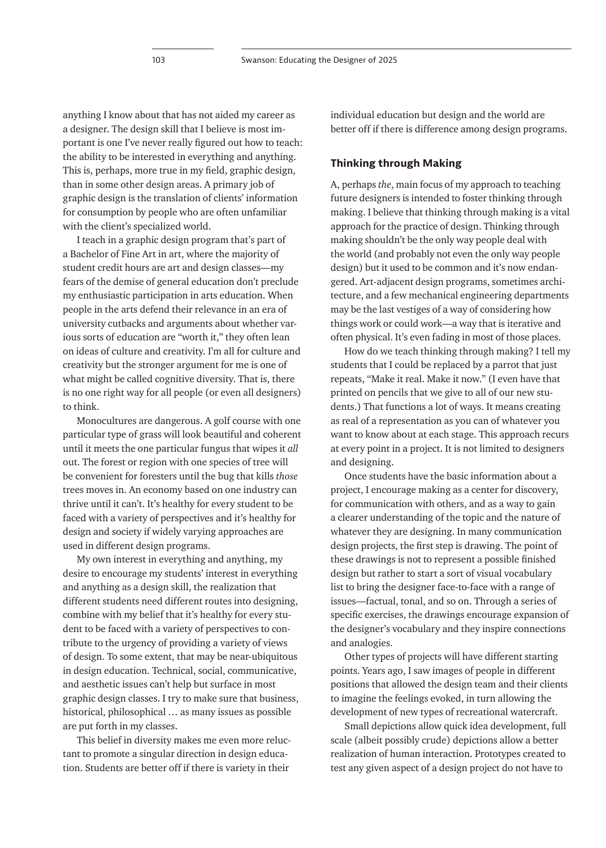anything I know about that has not aided my career as a designer. The design skill that I believe is most important is one I've never really figured out how to teach: the ability to be interested in everything and anything. This is, perhaps, more true in my field, graphic design, than in some other design areas. A primary job of graphic design is the translation of clients' information for consumption by people who are often unfamiliar with the client's specialized world.

I teach in a graphic design program that's part of a Bachelor of Fine Art in art, where the majority of student credit hours are art and design classes—my fears of the demise of general education don't preclude my enthusiastic participation in arts education. When people in the arts defend their relevance in an era of university cutbacks and arguments about whether various sorts of education are "worth it," they often lean on ideas of culture and creativity. I'm all for culture and creativity but the stronger argument for me is one of what might be called cognitive diversity. That is, there is no one right way for all people (or even all designers) to think.

Monocultures are dangerous. A golf course with one particular type of grass will look beautiful and coherent until it meets the one particular fungus that wipes it *all* out. The forest or region with one species of tree will be convenient for foresters until the bug that kills *those* trees moves in. An economy based on one industry can thrive until it can't. It's healthy for every student to be faced with a variety of perspectives and it's healthy for design and society if widely varying approaches are used in different design programs.

My own interest in everything and anything, my desire to encourage my students' interest in everything and anything as a design skill, the realization that different students need different routes into designing, combine with my belief that it's healthy for every student to be faced with a variety of perspectives to contribute to the urgency of providing a variety of views of design. To some extent, that may be near-ubiquitous in design education. Technical, social, communicative, and aesthetic issues can't help but surface in most graphic design classes. I try to make sure that business, historical, philosophical … as many issues as possible are put forth in my classes.

This belief in diversity makes me even more reluctant to promote a singular direction in design education. Students are better off if there is variety in their

individual education but design and the world are better off if there is difference among design programs.

# **Thinking through Making**

A, perhaps *the*, main focus of my approach to teaching future designers is intended to foster thinking through making. I believe that thinking through making is a vital approach for the practice of design. Thinking through making shouldn't be the only way people deal with the world (and probably not even the only way people design) but it used to be common and it's now endangered. Art-adjacent design programs, sometimes architecture, and a few mechanical engineering departments may be the last vestiges of a way of considering how things work or could work—a way that is iterative and often physical. It's even fading in most of those places.

How do we teach thinking through making? I tell my students that I could be replaced by a parrot that just repeats, "Make it real. Make it now." (I even have that printed on pencils that we give to all of our new students.) That functions a lot of ways. It means creating as real of a representation as you can of whatever you want to know about at each stage. This approach recurs at every point in a project. It is not limited to designers and designing.

Once students have the basic information about a project, I encourage making as a center for discovery, for communication with others, and as a way to gain a clearer understanding of the topic and the nature of whatever they are designing. In many communication design projects, the first step is drawing. The point of these drawings is not to represent a possible finished design but rather to start a sort of visual vocabulary list to bring the designer face-to-face with a range of issues—factual, tonal, and so on. Through a series of specific exercises, the drawings encourage expansion of the designer's vocabulary and they inspire connections and analogies.

Other types of projects will have different starting points. Years ago, I saw images of people in different positions that allowed the design team and their clients to imagine the feelings evoked, in turn allowing the development of new types of recreational watercraft.

Small depictions allow quick idea development, full scale (albeit possibly crude) depictions allow a better realization of human interaction. Prototypes created to test any given aspect of a design project do not have to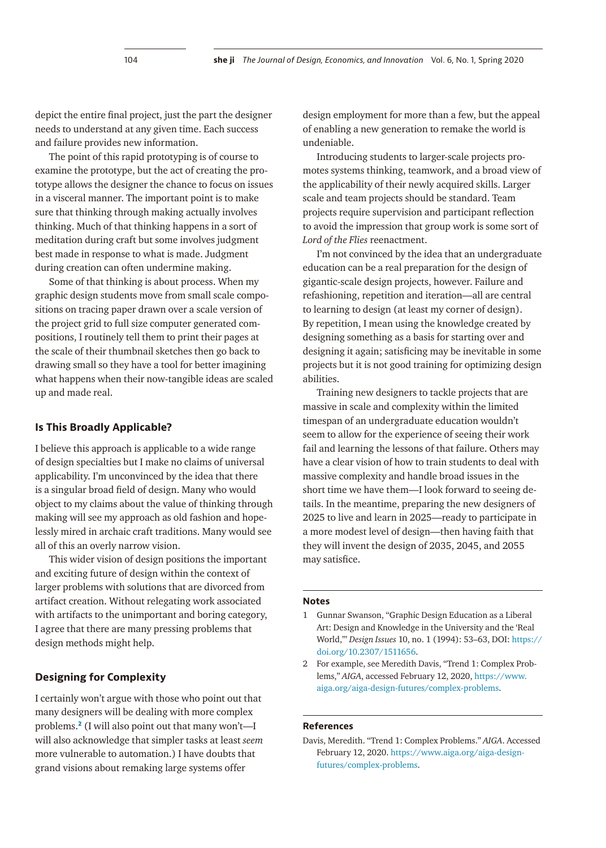depict the entire final project, just the part the designer needs to understand at any given time. Each success and failure provides new information.

The point of this rapid prototyping is of course to examine the prototype, but the act of creating the prototype allows the designer the chance to focus on issues in a visceral manner. The important point is to make sure that thinking through making actually involves thinking. Much of that thinking happens in a sort of meditation during craft but some involves judgment best made in response to what is made. Judgment during creation can often undermine making.

Some of that thinking is about process. When my graphic design students move from small scale compositions on tracing paper drawn over a scale version of the project grid to full size computer generated compositions, I routinely tell them to print their pages at the scale of their thumbnail sketches then go back to drawing small so they have a tool for better imagining what happens when their now-tangible ideas are scaled up and made real.

## **Is This Broadly Applicable?**

I believe this approach is applicable to a wide range of design specialties but I make no claims of universal applicability. I'm unconvinced by the idea that there is a singular broad field of design. Many who would object to my claims about the value of thinking through making will see my approach as old fashion and hopelessly mired in archaic craft traditions. Many would see all of this an overly narrow vision.

This wider vision of design positions the important and exciting future of design within the context of larger problems with solutions that are divorced from artifact creation. Without relegating work associated with artifacts to the unimportant and boring category, I agree that there are many pressing problems that design methods might help.

#### **Designing for Complexity**

I certainly won't argue with those who point out that many designers will be dealing with more complex problems.**[2](#page-3-1)** (I will also point out that many won't—I will also acknowledge that simpler tasks at least *seem* more vulnerable to automation.) I have doubts that grand visions about remaking large systems offer

design employment for more than a few, but the appeal of enabling a new generation to remake the world is undeniable.

Introducing students to larger-scale projects promotes systems thinking, teamwork, and a broad view of the applicability of their newly acquired skills. Larger scale and team projects should be standard. Team projects require supervision and participant reflection to avoid the impression that group work is some sort of *Lord of the Flies* reenactment.

I'm not convinced by the idea that an undergraduate education can be a real preparation for the design of gigantic-scale design projects, however. Failure and refashioning, repetition and iteration—all are central to learning to design (at least my corner of design). By repetition, I mean using the knowledge created by designing something as a basis for starting over and designing it again; satisficing may be inevitable in some projects but it is not good training for optimizing design abilities.

Training new designers to tackle projects that are massive in scale and complexity within the limited timespan of an undergraduate education wouldn't seem to allow for the experience of seeing their work fail and learning the lessons of that failure. Others may have a clear vision of how to train students to deal with massive complexity and handle broad issues in the short time we have them—I look forward to seeing details. In the meantime, preparing the new designers of 2025 to live and learn in 2025—ready to participate in a more modest level of design—then having faith that they will invent the design of 2035, 2045, and 2055 may satisfice.

#### **Notes**

- <span id="page-3-0"></span>1 Gunnar Swanson, "Graphic Design Education as a Liberal Art: Design and Knowledge in the University and the 'Real World,'" *Design Issues* 10, no. 1 (1994): 53–63, DOI: [https://](https://doi.org/10.2307/1511656) [doi.org/10.2307/1511656](https://doi.org/10.2307/1511656).
- <span id="page-3-1"></span>2 For example, see Meredith Davis, "Trend 1: Complex Problems," *AIGA*, accessed February 12, 2020, [https://www.](https://www.aiga.org/aiga-design-futures/complex-problems) [aiga.org/aiga-design-futures/complex-problems.](https://www.aiga.org/aiga-design-futures/complex-problems)

#### **References**

Davis, Meredith. "Trend 1: Complex Problems." *AIGA*. Accessed February 12, 2020. [https://www.aiga.org/aiga-design](https://www.aiga.org/aiga-design-futures/complex-problems)[futures/complex-problems.](https://www.aiga.org/aiga-design-futures/complex-problems)